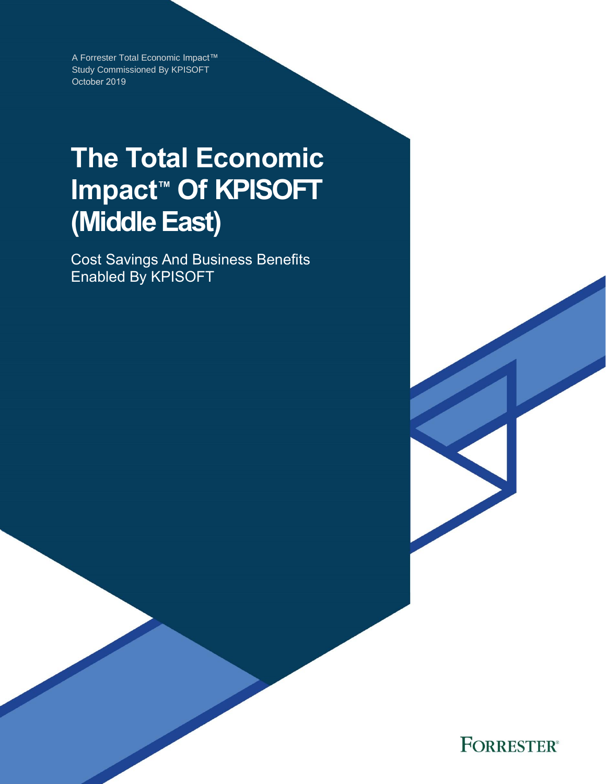A Forrester Total Economic Impact™ Study Commissioned By KPISOFT October 2019

# **The Total Economic Impact™ Of KPISOFT (Middle East)**

Cost Savings And Business Benefits Enabled By KPISOFT

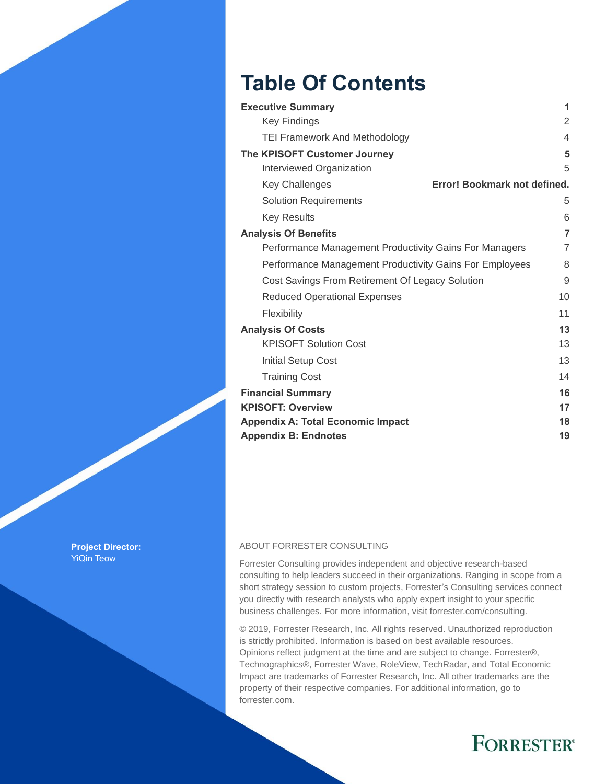## **Table Of Contents**

| <b>Executive Summary</b>                                | 1              |
|---------------------------------------------------------|----------------|
| <b>Key Findings</b>                                     | 2              |
| <b>TEI Framework And Methodology</b>                    | $\overline{4}$ |
| The KPISOFT Customer Journey                            | 5              |
| Interviewed Organization                                | 5              |
| Error! Bookmark not defined.<br><b>Key Challenges</b>   |                |
| <b>Solution Requirements</b>                            | 5              |
| <b>Key Results</b>                                      | 6              |
| <b>Analysis Of Benefits</b>                             | $\overline{7}$ |
| Performance Management Productivity Gains For Managers  | 7              |
| Performance Management Productivity Gains For Employees | 8              |
| Cost Savings From Retirement Of Legacy Solution         | 9              |
| <b>Reduced Operational Expenses</b>                     | 10             |
| Flexibility                                             | 11             |
| <b>Analysis Of Costs</b>                                | 13             |
| <b>KPISOFT Solution Cost</b>                            | 13             |
| <b>Initial Setup Cost</b>                               | 13             |
| <b>Training Cost</b>                                    | 14             |
| <b>Financial Summary</b>                                | 16             |
| <b>KPISOFT: Overview</b>                                | 17             |
| <b>Appendix A: Total Economic Impact</b>                | 18             |
| <b>Appendix B: Endnotes</b>                             | 19             |

#### ABOUT FORRESTER CONSULTING

Forrester Consulting provides independent and objective research-based consulting to help leaders succeed in their organizations. Ranging in scope from a short strategy session to custom projects, Forrester's Consulting services connect you directly with research analysts who apply expert insight to your specific business challenges. For more information, visit forrester.com/consulting.

© 2019, Forrester Research, Inc. All rights reserved. Unauthorized reproduction is strictly prohibited. Information is based on best available resources. Opinions reflect judgment at the time and are subject to change. Forrester®, Technographics®, Forrester Wave, RoleView, TechRadar, and Total Economic Impact are trademarks of Forrester Research, Inc. All other trademarks are the property of their respective companies. For additional information, go to forrester.com.

## **FORRESTER®**

**Project Director:** YiQin Teow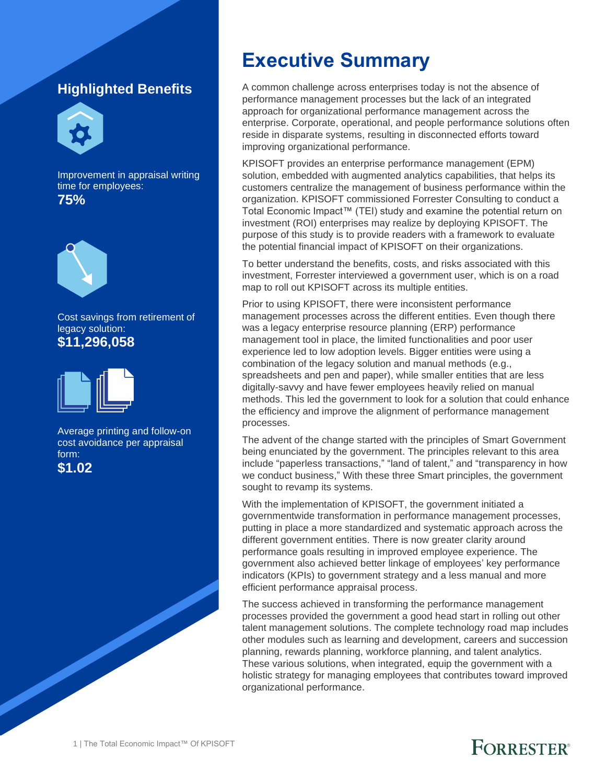### **Highlighted Benefits**



Improvement in appraisal writing time for employees: **75%**



Cost savings from retirement of legacy solution: **\$11,296,058**



Average printing and follow-on cost avoidance per appraisal form:

### **\$1.02**

## **Executive Summary**

A common challenge across enterprises today is not the absence of performance management processes but the lack of an integrated approach for organizational performance management across the enterprise. Corporate, operational, and people performance solutions often reside in disparate systems, resulting in disconnected efforts toward improving organizational performance.

KPISOFT provides an enterprise performance management (EPM) solution, embedded with augmented analytics capabilities, that helps its customers centralize the management of business performance within the organization. KPISOFT commissioned Forrester Consulting to conduct a Total Economic Impact™ (TEI) study and examine the potential return on investment (ROI) enterprises may realize by deploying KPISOFT. The purpose of this study is to provide readers with a framework to evaluate the potential financial impact of KPISOFT on their organizations.

To better understand the benefits, costs, and risks associated with this investment, Forrester interviewed a government user, which is on a road map to roll out KPISOFT across its multiple entities.

Prior to using KPISOFT, there were inconsistent performance management processes across the different entities. Even though there was a legacy enterprise resource planning (ERP) performance management tool in place, the limited functionalities and poor user experience led to low adoption levels. Bigger entities were using a combination of the legacy solution and manual methods (e.g., spreadsheets and pen and paper), while smaller entities that are less digitally-savvy and have fewer employees heavily relied on manual methods. This led the government to look for a solution that could enhance the efficiency and improve the alignment of performance management processes.

The advent of the change started with the principles of Smart Government being enunciated by the government. The principles relevant to this area include "paperless transactions," "land of talent," and "transparency in how we conduct business," With these three Smart principles, the government sought to revamp its systems.

With the implementation of KPISOFT, the government initiated a governmentwide transformation in performance management processes, putting in place a more standardized and systematic approach across the different government entities. There is now greater clarity around performance goals resulting in improved employee experience. The government also achieved better linkage of employees' key performance indicators (KPIs) to government strategy and a less manual and more efficient performance appraisal process.

The success achieved in transforming the performance management processes provided the government a good head start in rolling out other talent management solutions. The complete technology road map includes other modules such as learning and development, careers and succession planning, rewards planning, workforce planning, and talent analytics. These various solutions, when integrated, equip the government with a holistic strategy for managing employees that contributes toward improved organizational performance.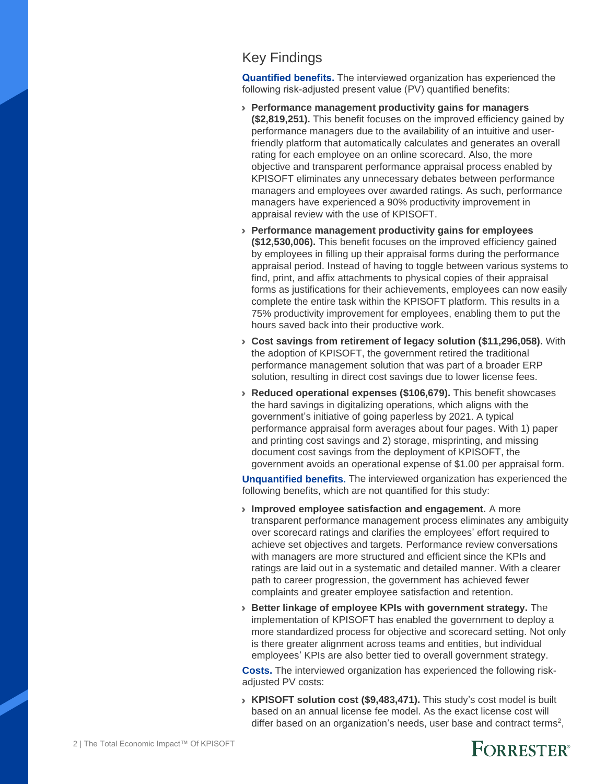#### Key Findings

**Quantified benefits.** The interviewed organization has experienced the following risk-adjusted present value (PV) quantified benefits:

- › **Performance management productivity gains for managers (\$2,819,251).** This benefit focuses on the improved efficiency gained by performance managers due to the availability of an intuitive and userfriendly platform that automatically calculates and generates an overall rating for each employee on an online scorecard. Also, the more objective and transparent performance appraisal process enabled by KPISOFT eliminates any unnecessary debates between performance managers and employees over awarded ratings. As such, performance managers have experienced a 90% productivity improvement in appraisal review with the use of KPISOFT.
- › **Performance management productivity gains for employees (\$12,530,006).** This benefit focuses on the improved efficiency gained by employees in filling up their appraisal forms during the performance appraisal period. Instead of having to toggle between various systems to find, print, and affix attachments to physical copies of their appraisal forms as justifications for their achievements, employees can now easily complete the entire task within the KPISOFT platform. This results in a 75% productivity improvement for employees, enabling them to put the hours saved back into their productive work.
- › **Cost savings from retirement of legacy solution (\$11,296,058).** With the adoption of KPISOFT, the government retired the traditional performance management solution that was part of a broader ERP solution, resulting in direct cost savings due to lower license fees.
- › **Reduced operational expenses (\$106,679).** This benefit showcases the hard savings in digitalizing operations, which aligns with the government's initiative of going paperless by 2021. A typical performance appraisal form averages about four pages. With 1) paper and printing cost savings and 2) storage, misprinting, and missing document cost savings from the deployment of KPISOFT, the government avoids an operational expense of \$1.00 per appraisal form.

**Unquantified benefits.** The interviewed organization has experienced the following benefits, which are not quantified for this study:

- › **Improved employee satisfaction and engagement.** A more transparent performance management process eliminates any ambiguity over scorecard ratings and clarifies the employees' effort required to achieve set objectives and targets. Performance review conversations with managers are more structured and efficient since the KPIs and ratings are laid out in a systematic and detailed manner. With a clearer path to career progression, the government has achieved fewer complaints and greater employee satisfaction and retention.
- › **Better linkage of employee KPIs with government strategy.** The implementation of KPISOFT has enabled the government to deploy a more standardized process for objective and scorecard setting. Not only is there greater alignment across teams and entities, but individual employees' KPIs are also better tied to overall government strategy.

**Costs.** The interviewed organization has experienced the following riskadjusted PV costs:

› **KPISOFT solution cost (\$9,483,471).** This study's cost model is built based on an annual license fee model. As the exact license cost will differ based on an organization's needs[,](#page-14-0) user base and contract terms<sup>2</sup>,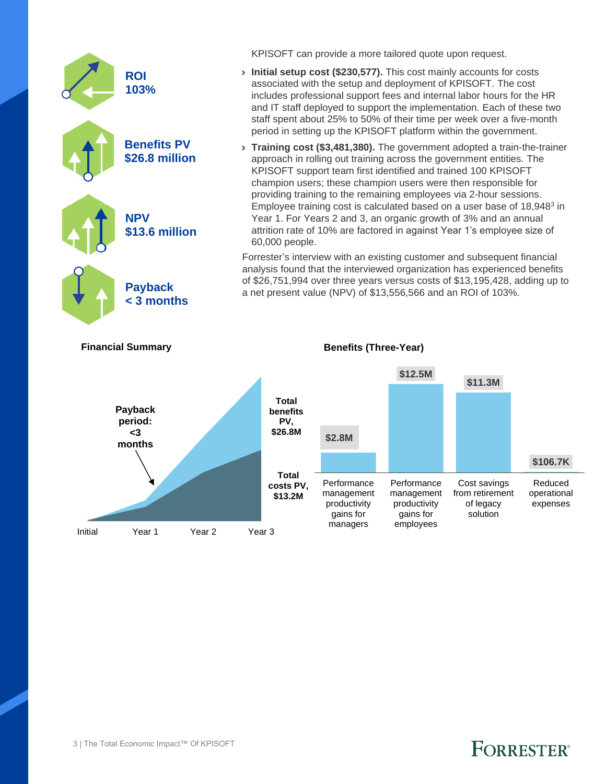

**Financial Summary**

KPISOFT can provide a more tailored quote upon request.

- › **Initial setup cost (\$230,577).** This cost mainly accounts for costs associated with the setup and deployment of KPISOFT. The cost includes professional support fees and internal labor hours for the HR and IT staff deployed to support the implementation. Each of these two staff spent about 25% to 50% of their time per week over a five-month period in setting up the KPISOFT platform within the government.
- › **Training cost (\$3,481,380).** The government adopted a train-the-trainer approach in rolling out training across the government entities. The KPISOFT support team first identified and trained 100 KPISOFT champion users; these champion users were then responsible for providing training to the remaining employees via 2-hour sessions. Employee training cost is calculated based on a user base of 1[8](#page-16-0),948<sup>3</sup> in Year 1. For Years 2 and 3, an organic growth of 3% and an annual attrition rate of 10% are factored in against Year 1's employee size of 60,000 people.

Forrester's interview with an existing customer and subsequent financial analysis found that the interviewed organization has experienced benefits of \$26,751,994 over three years versus costs of \$13,195,428, adding up to a net present value (NPV) of \$13,556,566 and an ROI of 103%.



**Benefits (Three-Year)**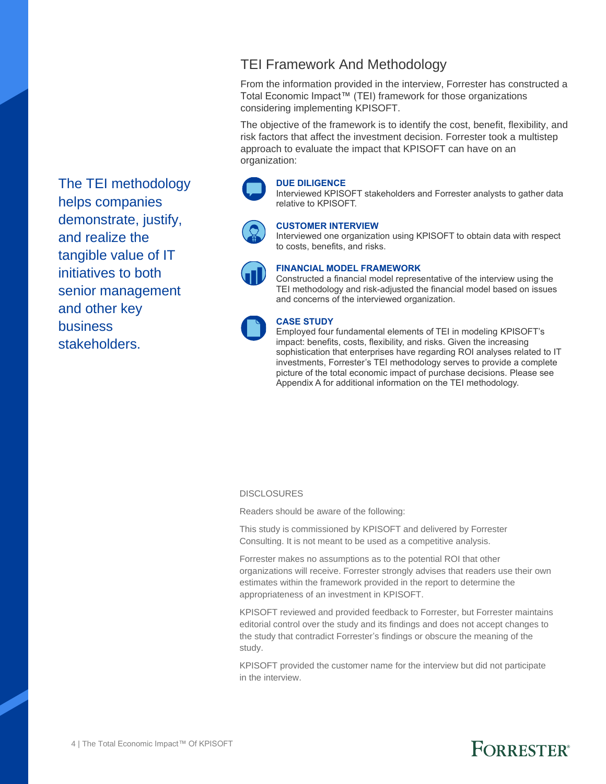TEI Framework And Methodology

From the information provided in the interview, Forrester has constructed a Total Economic Impact™ (TEI) framework for those organizations considering implementing KPISOFT.

The objective of the framework is to identify the cost, benefit, flexibility, and risk factors that affect the investment decision. Forrester took a multistep approach to evaluate the impact that KPISOFT can have on an organization:

#### **DUE DILIGENCE**

Interviewed KPISOFT stakeholders and Forrester analysts to gather data relative to KPISOFT.



#### **CUSTOMER INTERVIEW**

Interviewed one organization using KPISOFT to obtain data with respect to costs, benefits, and risks.



#### **FINANCIAL MODEL FRAMEWORK**

Constructed a financial model representative of the interview using the TEI methodology and risk-adjusted the financial model based on issues and concerns of the interviewed organization.



#### **CASE STUDY**

Employed four fundamental elements of TEI in modeling KPISOFT's impact: benefits, costs, flexibility, and risks. Given the increasing sophistication that enterprises have regarding ROI analyses related to IT investments, Forrester's TEI methodology serves to provide a complete picture of the total economic impact of purchase decisions. Please see Appendix A for additional information on the TEI methodology.

#### **DISCLOSURES**

Readers should be aware of the following:

This study is commissioned by KPISOFT and delivered by Forrester Consulting. It is not meant to be used as a competitive analysis.

Forrester makes no assumptions as to the potential ROI that other organizations will receive. Forrester strongly advises that readers use their own estimates within the framework provided in the report to determine the appropriateness of an investment in KPISOFT.

KPISOFT reviewed and provided feedback to Forrester, but Forrester maintains editorial control over the study and its findings and does not accept changes to the study that contradict Forrester's findings or obscure the meaning of the study.

KPISOFT provided the customer name for the interview but did not participate in the interview.

The TEI methodology helps companies demonstrate, justify, and realize the tangible value of IT initiatives to both senior management and other key business stakeholders.

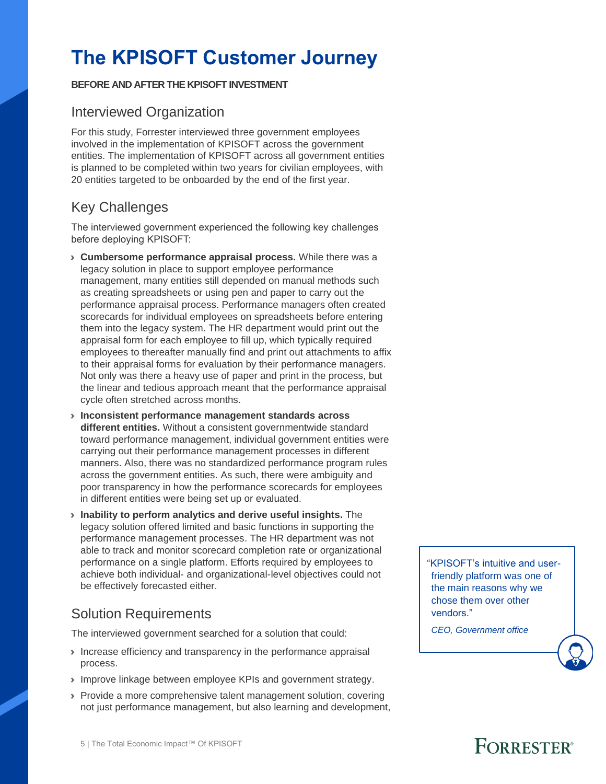## **The KPISOFT Customer Journey**

#### **BEFORE AND AFTER THE KPISOFT INVESTMENT**

#### Interviewed Organization

For this study, Forrester interviewed three government employees involved in the implementation of KPISOFT across the government entities. The implementation of KPISOFT across all government entities is planned to be completed within two years for civilian employees, with 20 entities targeted to be onboarded by the end of the first year.

### Key Challenges

The interviewed government experienced the following key challenges before deploying KPISOFT:

- › **Cumbersome performance appraisal process.** While there was a legacy solution in place to support employee performance management, many entities still depended on manual methods such as creating spreadsheets or using pen and paper to carry out the performance appraisal process. Performance managers often created scorecards for individual employees on spreadsheets before entering them into the legacy system. The HR department would print out the appraisal form for each employee to fill up, which typically required employees to thereafter manually find and print out attachments to affix to their appraisal forms for evaluation by their performance managers. Not only was there a heavy use of paper and print in the process, but the linear and tedious approach meant that the performance appraisal cycle often stretched across months.
- › **Inconsistent performance management standards across different entities.** Without a consistent governmentwide standard toward performance management, individual government entities were carrying out their performance management processes in different manners. Also, there was no standardized performance program rules across the government entities. As such, there were ambiguity and poor transparency in how the performance scorecards for employees in different entities were being set up or evaluated.
- › **Inability to perform analytics and derive useful insights.** The legacy solution offered limited and basic functions in supporting the performance management processes. The HR department was not able to track and monitor scorecard completion rate or organizational performance on a single platform. Efforts required by employees to achieve both individual- and organizational-level objectives could not be effectively forecasted either.

### Solution Requirements

The interviewed government searched for a solution that could:

- › Increase efficiency and transparency in the performance appraisal process.
- › Improve linkage between employee KPIs and government strategy.
- › Provide a more comprehensive talent management solution, covering not just performance management, but also learning and development,

"KPISOFT's intuitive and userfriendly platform was one of the main reasons why we chose them over other vendors."

*CEO, Government office*

### **FORRESTER**<sup>®</sup>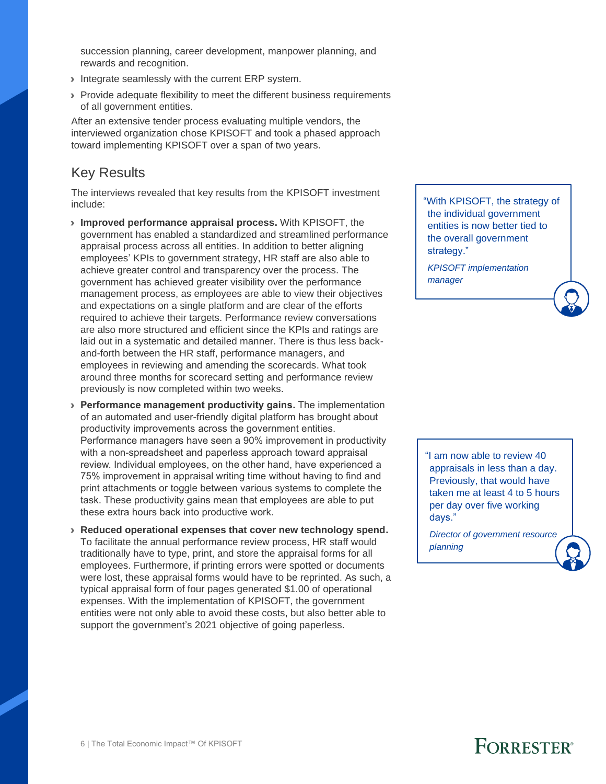succession planning, career development, manpower planning, and rewards and recognition.

- Integrate seamlessly with the current ERP system.
- › Provide adequate flexibility to meet the different business requirements of all government entities.

After an extensive tender process evaluating multiple vendors, the interviewed organization chose KPISOFT and took a phased approach toward implementing KPISOFT over a span of two years.

#### Key Results

The interviews revealed that key results from the KPISOFT investment include:

- › **Improved performance appraisal process.** With KPISOFT, the government has enabled a standardized and streamlined performance appraisal process across all entities. In addition to better aligning employees' KPIs to government strategy, HR staff are also able to achieve greater control and transparency over the process. The government has achieved greater visibility over the performance management process, as employees are able to view their objectives and expectations on a single platform and are clear of the efforts required to achieve their targets. Performance review conversations are also more structured and efficient since the KPIs and ratings are laid out in a systematic and detailed manner. There is thus less backand-forth between the HR staff, performance managers, and employees in reviewing and amending the scorecards. What took around three months for scorecard setting and performance review previously is now completed within two weeks.
- › **Performance management productivity gains.** The implementation of an automated and user-friendly digital platform has brought about productivity improvements across the government entities. Performance managers have seen a 90% improvement in productivity with a non-spreadsheet and paperless approach toward appraisal review. Individual employees, on the other hand, have experienced a 75% improvement in appraisal writing time without having to find and print attachments or toggle between various systems to complete the task. These productivity gains mean that employees are able to put these extra hours back into productive work.
- › **Reduced operational expenses that cover new technology spend.** To facilitate the annual performance review process, HR staff would traditionally have to type, print, and store the appraisal forms for all employees. Furthermore, if printing errors were spotted or documents were lost, these appraisal forms would have to be reprinted. As such, a typical appraisal form of four pages generated \$1.00 of operational expenses. With the implementation of KPISOFT, the government entities were not only able to avoid these costs, but also better able to support the government's 2021 objective of going paperless.

"With KPISOFT, the strategy of the individual government entities is now better tied to the overall government strategy."

*KPISOFT implementation manager*

"I am now able to review 40 appraisals in less than a day. Previously, that would have taken me at least 4 to 5 hours per day over five working days."

*Director of government resource planning* 

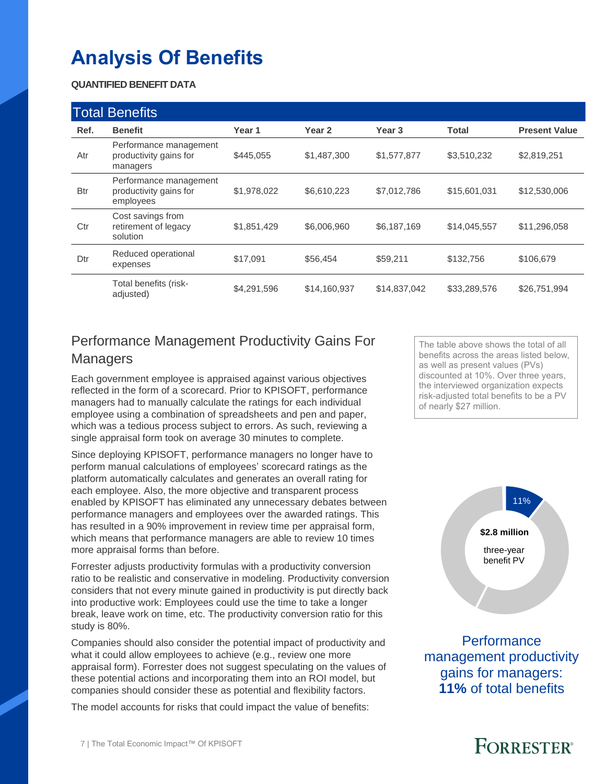## **Analysis Of Benefits**

#### **QUANTIFIED BENEFIT DATA**

|            | <b>Total Benefits</b>                                         |             |              |                   |              |                      |
|------------|---------------------------------------------------------------|-------------|--------------|-------------------|--------------|----------------------|
| Ref.       | <b>Benefit</b>                                                | Year 1      | Year 2       | Year <sub>3</sub> | <b>Total</b> | <b>Present Value</b> |
| Atr        | Performance management<br>productivity gains for<br>managers  | \$445,055   | \$1,487,300  | \$1,577,877       | \$3,510,232  | \$2,819,251          |
| <b>Btr</b> | Performance management<br>productivity gains for<br>employees | \$1,978,022 | \$6,610,223  | \$7,012,786       | \$15,601,031 | \$12,530,006         |
| Ctr        | Cost savings from<br>retirement of legacy<br>solution         | \$1,851,429 | \$6,006,960  | \$6,187,169       | \$14,045,557 | \$11,296,058         |
| Dtr        | Reduced operational<br>expenses                               | \$17,091    | \$56,454     | \$59,211          | \$132,756    | \$106,679            |
|            | Total benefits (risk-<br>adjusted)                            | \$4,291,596 | \$14,160,937 | \$14,837,042      | \$33,289,576 | \$26,751,994         |

### Performance Management Productivity Gains For Managers

Each government employee is appraised against various objectives reflected in the form of a scorecard. Prior to KPISOFT, performance managers had to manually calculate the ratings for each individual employee using a combination of spreadsheets and pen and paper, which was a tedious process subject to errors. As such, reviewing a single appraisal form took on average 30 minutes to complete.

Since deploying KPISOFT, performance managers no longer have to perform manual calculations of employees' scorecard ratings as the platform automatically calculates and generates an overall rating for each employee. Also, the more objective and transparent process enabled by KPISOFT has eliminated any unnecessary debates between performance managers and employees over the awarded ratings. This has resulted in a 90% improvement in review time per appraisal form, which means that performance managers are able to review 10 times more appraisal forms than before.

Forrester adjusts productivity formulas with a productivity conversion ratio to be realistic and conservative in modeling. Productivity conversion considers that not every minute gained in productivity is put directly back into productive work: Employees could use the time to take a longer break, leave work on time, etc. The productivity conversion ratio for this study is 80%.

Companies should also consider the potential impact of productivity and what it could allow employees to achieve (e.g., review one more appraisal form). Forrester does not suggest speculating on the values of these potential actions and incorporating them into an ROI model, but companies should consider these as potential and flexibility factors.

The model accounts for risks that could impact the value of benefits:

The table above shows the total of all benefits across the areas listed below, as well as present values (PVs) discounted at 10%. Over three years, the interviewed organization expects risk-adjusted total benefits to be a PV of nearly \$27 million.



**Performance** management productivity gains for managers: **11%** of total benefits

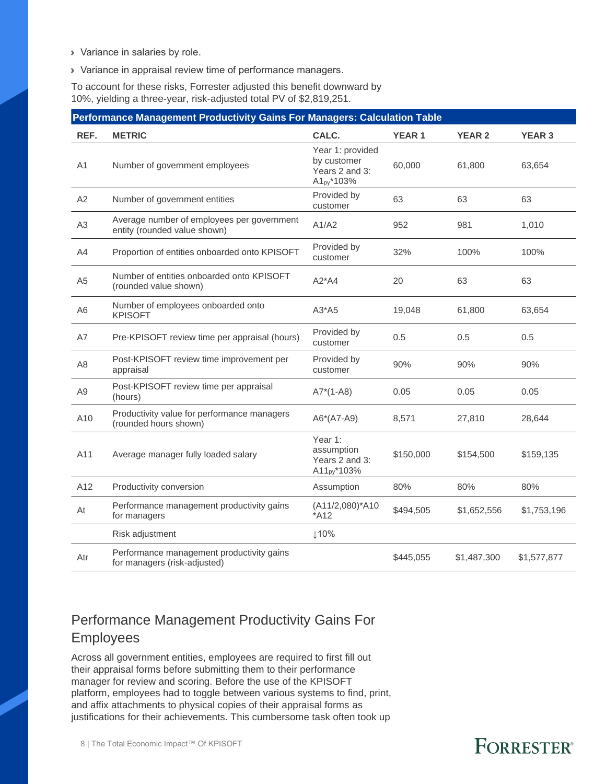- › Variance in salaries by role.
- › Variance in appraisal review time of performance managers.

To account for these risks, Forrester adjusted this benefit downward by 10%, yielding a three-year, risk-adjusted total PV of \$2,819,251.

|                | Performance Management Productivity Gains For Managers: Calculation Table  |                                                                             |              |               |               |  |  |  |  |
|----------------|----------------------------------------------------------------------------|-----------------------------------------------------------------------------|--------------|---------------|---------------|--|--|--|--|
| REF.           | <b>METRIC</b>                                                              | CALC.                                                                       | <b>YEAR1</b> | <b>YEAR 2</b> | <b>YEAR 3</b> |  |  |  |  |
| A1             | Number of government employees                                             | Year 1: provided<br>by customer<br>Years 2 and 3:<br>A1 <sub>py</sub> *103% | 60.000       | 61.800        | 63,654        |  |  |  |  |
| A2             | Number of government entities                                              | Provided by<br>customer                                                     | 63           | 63            | 63            |  |  |  |  |
| A <sub>3</sub> | Average number of employees per government<br>entity (rounded value shown) | A1/A2                                                                       | 952          | 981           | 1,010         |  |  |  |  |
| A4             | Proportion of entities onboarded onto KPISOFT                              | Provided by<br>customer                                                     | 32%          | 100%          | 100%          |  |  |  |  |
| A <sub>5</sub> | Number of entities onboarded onto KPISOFT<br>(rounded value shown)         | $A2^*AA$                                                                    | 20           | 63            | 63            |  |  |  |  |
| A6             | Number of employees onboarded onto<br><b>KPISOFT</b>                       | $A3*A5$                                                                     | 19,048       | 61,800        | 63,654        |  |  |  |  |
| A7             | Pre-KPISOFT review time per appraisal (hours)                              | Provided by<br>customer                                                     | 0.5          | 0.5           | 0.5           |  |  |  |  |
| A <sub>8</sub> | Post-KPISOFT review time improvement per<br>appraisal                      | Provided by<br>customer                                                     | 90%          | 90%           | 90%           |  |  |  |  |
| A <sub>9</sub> | Post-KPISOFT review time per appraisal<br>(hours)                          | $A7*(1-A8)$                                                                 | 0.05         | 0.05          | 0.05          |  |  |  |  |
| A10            | Productivity value for performance managers<br>(rounded hours shown)       | A6*(A7-A9)                                                                  | 8,571        | 27,810        | 28,644        |  |  |  |  |
| A11            | Average manager fully loaded salary                                        | Year 1:<br>assumption<br>Years 2 and 3:<br>A11 <sub>py</sub> *103%          | \$150,000    | \$154,500     | \$159,135     |  |  |  |  |
| A12            | Productivity conversion                                                    | Assumption                                                                  | 80%          | 80%           | 80%           |  |  |  |  |
| At             | Performance management productivity gains<br>for managers                  | $(A11/2,080)^*A10$<br>$*$ A12                                               | \$494,505    | \$1,652,556   | \$1,753,196   |  |  |  |  |
|                | Risk adjustment                                                            | ↓10%                                                                        |              |               |               |  |  |  |  |
| Atr            | Performance management productivity gains<br>for managers (risk-adjusted)  |                                                                             | \$445,055    | \$1,487,300   | \$1,577,877   |  |  |  |  |

### Performance Management Productivity Gains For Employees

Across all government entities, employees are required to first fill out their appraisal forms before submitting them to their performance manager for review and scoring. Before the use of the KPISOFT platform, employees had to toggle between various systems to find, print, and affix attachments to physical copies of their appraisal forms as justifications for their achievements. This cumbersome task often took up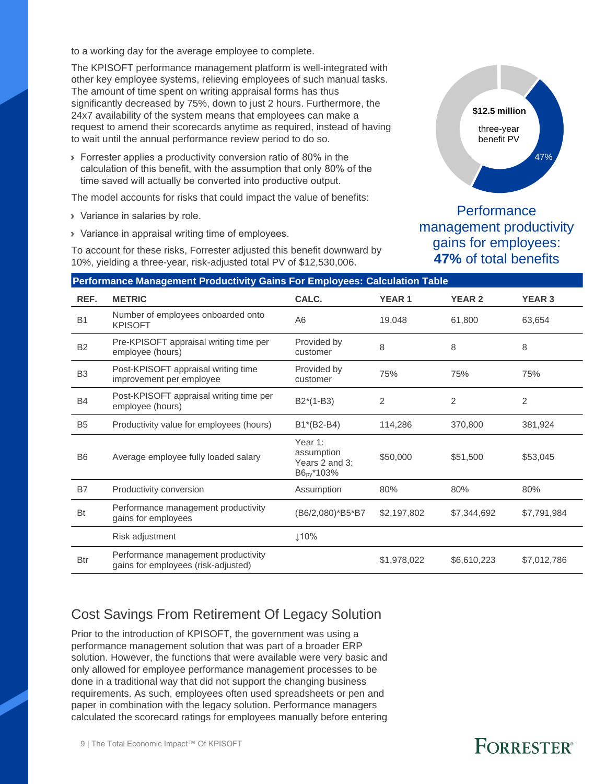to a working day for the average employee to complete.

The KPISOFT performance management platform is well-integrated with other key employee systems, relieving employees of such manual tasks. The amount of time spent on writing appraisal forms has thus significantly decreased by 75%, down to just 2 hours. Furthermore, the 24x7 availability of the system means that employees can make a request to amend their scorecards anytime as required, instead of having to wait until the annual performance review period to do so.

› Forrester applies a productivity conversion ratio of 80% in the calculation of this benefit, with the assumption that only 80% of the time saved will actually be converted into productive output.

The model accounts for risks that could impact the value of benefits:

- › Variance in salaries by role.
- › Variance in appraisal writing time of employees.

To account for these risks, Forrester adjusted this benefit downward by 10%, yielding a three-year, risk-adjusted total PV of \$12,530,006.

**Performance** management productivity gains for employees: **47%** of total benefits

three-year benefit PV

**\$12.5 million**

47%

|                | Performance Management Productivity Gains For Employees: Calculation Table |                                                                   |              |               |               |  |  |  |  |
|----------------|----------------------------------------------------------------------------|-------------------------------------------------------------------|--------------|---------------|---------------|--|--|--|--|
| REF.           | <b>METRIC</b>                                                              | CALC.                                                             | <b>YEAR1</b> | <b>YEAR 2</b> | <b>YEAR 3</b> |  |  |  |  |
| B <sub>1</sub> | Number of employees onboarded onto<br><b>KPISOFT</b>                       | A <sub>6</sub>                                                    | 19,048       | 61,800        | 63,654        |  |  |  |  |
| <b>B2</b>      | Pre-KPISOFT appraisal writing time per<br>employee (hours)                 | Provided by<br>customer                                           | 8            | 8             | 8             |  |  |  |  |
| B <sub>3</sub> | Post-KPISOFT appraisal writing time<br>improvement per employee            | Provided by<br>customer                                           | 75%          | 75%           | 75%           |  |  |  |  |
| <b>B4</b>      | Post-KPISOFT appraisal writing time per<br>employee (hours)                | $B2*(1-B3)$                                                       | 2            | 2             | 2             |  |  |  |  |
| B <sub>5</sub> | Productivity value for employees (hours)                                   | B1*(B2-B4)                                                        | 114,286      | 370,800       | 381,924       |  |  |  |  |
| <b>B6</b>      | Average employee fully loaded salary                                       | Year 1:<br>assumption<br>Years 2 and 3:<br>B6 <sub>py</sub> *103% | \$50,000     | \$51,500      | \$53,045      |  |  |  |  |
| <b>B7</b>      | Productivity conversion                                                    | Assumption                                                        | 80%          | 80%           | 80%           |  |  |  |  |
| <b>Bt</b>      | Performance management productivity<br>gains for employees                 | (B6/2,080)*B5*B7                                                  | \$2,197,802  | \$7,344,692   | \$7,791,984   |  |  |  |  |
|                | Risk adjustment                                                            | 110%                                                              |              |               |               |  |  |  |  |
| <b>Btr</b>     | Performance management productivity<br>gains for employees (risk-adjusted) |                                                                   | \$1,978,022  | \$6,610,223   | \$7,012,786   |  |  |  |  |

### Cost Savings From Retirement Of Legacy Solution

Prior to the introduction of KPISOFT, the government was using a performance management solution that was part of a broader ERP solution. However, the functions that were available were very basic and only allowed for employee performance management processes to be done in a traditional way that did not support the changing business requirements. As such, employees often used spreadsheets or pen and paper in combination with the legacy solution. Performance managers calculated the scorecard ratings for employees manually before entering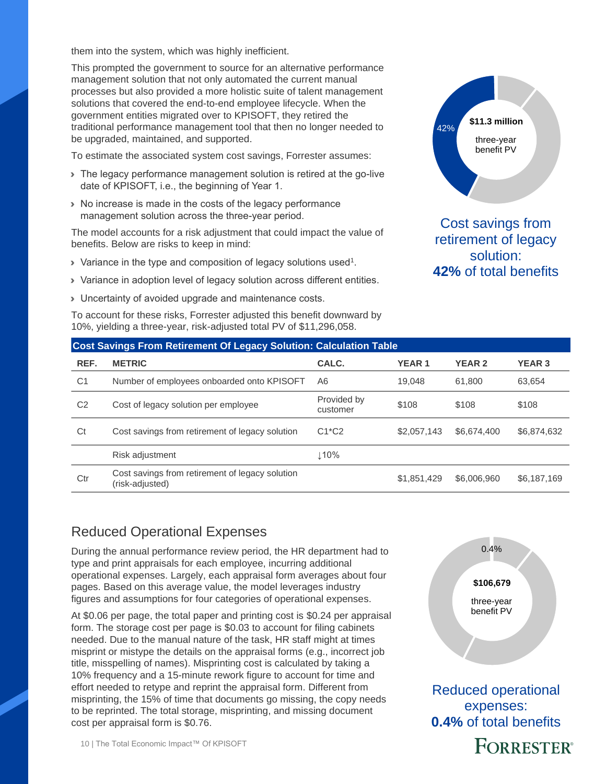them into the system, which was highly inefficient.

This prompted the government to source for an alternative performance management solution that not only automated the current manual processes but also provided a more holistic suite of talent management solutions that covered the end-to-end employee lifecycle. When the government entities migrated over to KPISOFT, they retired the traditional performance management tool that then no longer needed to be upgraded, maintained, and supported.

To estimate the associated system cost savings, Forrester assumes:

- › The legacy performance management solution is retired at the go-live date of KPISOFT, i.e., the beginning of Year 1.
- › No increase is made in the costs of the legacy performance management solution across the three-year period.

The model accounts for a risk adjustment that could impact the value of benefits. Below are risks to keep in mind:

- $\blacktriangleright$  Variance in the type and composition of legacy solutions used<sup>1</sup>.
- › Variance in adoption level of legacy solution across different entities.
- › Uncertainty of avoided upgrade and maintenance costs.

To account for these risks, Forrester adjusted this benefit downward by 10%, yielding a three-year, risk-adjusted total PV of \$11,296,058.



Cost savings from retirement of legacy solution: **42%** of total benefits

|                | <b>Cost Savings From Retirement Of Legacy Solution: Calculation Table</b> |                         |              |               |               |  |  |  |  |  |
|----------------|---------------------------------------------------------------------------|-------------------------|--------------|---------------|---------------|--|--|--|--|--|
| REF.           | <b>METRIC</b>                                                             | CALC.                   | <b>YEAR1</b> | <b>YEAR 2</b> | <b>YEAR 3</b> |  |  |  |  |  |
| C <sub>1</sub> | Number of employees onboarded onto KPISOFT                                | A6                      | 19.048       | 61.800        | 63.654        |  |  |  |  |  |
| C <sub>2</sub> | Cost of legacy solution per employee                                      | Provided by<br>customer | \$108        | \$108         | \$108         |  |  |  |  |  |
| Ct             | Cost savings from retirement of legacy solution                           | $C1^{\star}C2$          | \$2,057,143  | \$6,674,400   | \$6,874,632   |  |  |  |  |  |
|                | Risk adjustment                                                           | $\perp$ 10%             |              |               |               |  |  |  |  |  |
| Ctr            | Cost savings from retirement of legacy solution<br>(risk-adjusted)        |                         | \$1,851,429  | \$6,006,960   | \$6,187,169   |  |  |  |  |  |

### Reduced Operational Expenses

During the annual performance review period, the HR department had to type and print appraisals for each employee, incurring additional operational expenses. Largely, each appraisal form averages about four pages. Based on this average value, the model leverages industry figures and assumptions for four categories of operational expenses.

At \$0.06 per page, the total paper and printing cost is \$0.24 per appraisal form. The storage cost per page is \$0.03 to account for filing cabinets needed. Due to the manual nature of the task, HR staff might at times misprint or mistype the details on the appraisal forms (e.g., incorrect job title, misspelling of names). Misprinting cost is calculated by taking a 10% frequency and a 15-minute rework figure to account for time and effort needed to retype and reprint the appraisal form. Different from misprinting, the 15% of time that documents go missing, the copy needs to be reprinted. The total storage, misprinting, and missing document cost per appraisal form is \$0.76.



Reduced operational expenses: **0.4%** of total benefits **FORRESTER®**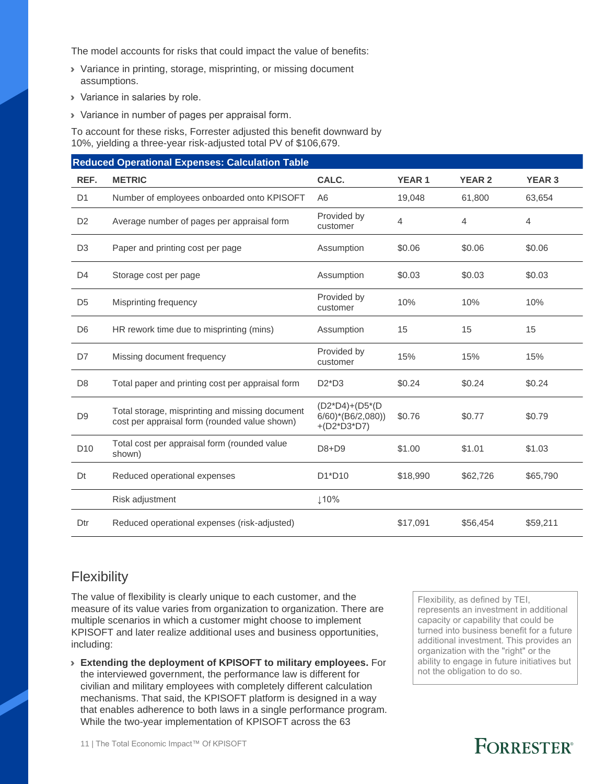The model accounts for risks that could impact the value of benefits:

- › Variance in printing, storage, misprinting, or missing document assumptions.
- › Variance in salaries by role.
- › Variance in number of pages per appraisal form.

To account for these risks, Forrester adjusted this benefit downward by 10%, yielding a three-year risk-adjusted total PV of \$106,679.

|                 | <b>Reduced Operational Expenses: Calculation Table</b>                                           |                                                                      |                |                |                |
|-----------------|--------------------------------------------------------------------------------------------------|----------------------------------------------------------------------|----------------|----------------|----------------|
| REF.            | <b>METRIC</b>                                                                                    | CALC.                                                                | <b>YEAR1</b>   | <b>YEAR 2</b>  | <b>YEAR 3</b>  |
| D <sub>1</sub>  | Number of employees onboarded onto KPISOFT                                                       | A <sub>6</sub>                                                       | 19,048         | 61,800         | 63,654         |
| D <sub>2</sub>  | Average number of pages per appraisal form                                                       | Provided by<br>customer                                              | $\overline{4}$ | $\overline{4}$ | $\overline{4}$ |
| D <sub>3</sub>  | Paper and printing cost per page                                                                 | Assumption                                                           | \$0.06         | \$0.06         | \$0.06         |
| D <sub>4</sub>  | Storage cost per page                                                                            | Assumption                                                           | \$0.03         | \$0.03         | \$0.03         |
| D <sub>5</sub>  | Misprinting frequency                                                                            | Provided by<br>customer                                              | 10%            | 10%            | 10%            |
| D <sub>6</sub>  | HR rework time due to misprinting (mins)                                                         | Assumption                                                           | 15             | 15             | 15             |
| D7              | Missing document frequency                                                                       | Provided by<br>customer                                              | 15%            | 15%            | 15%            |
| D <sub>8</sub>  | Total paper and printing cost per appraisal form                                                 | $D2^*D3$                                                             | \$0.24         | \$0.24         | \$0.24         |
| D <sub>9</sub>  | Total storage, misprinting and missing document<br>cost per appraisal form (rounded value shown) | (D2*D4)+(D5*(D<br>$6/60$ <sup>*</sup> (B6/2,080))<br>$+(D2^*D3^*D7)$ | \$0.76         | \$0.77         | \$0.79         |
| D <sub>10</sub> | Total cost per appraisal form (rounded value<br>shown)                                           | D8+D9                                                                | \$1.00         | \$1.01         | \$1.03         |
| Dt              | Reduced operational expenses                                                                     | D1*D10                                                               | \$18,990       | \$62,726       | \$65,790       |
|                 | Risk adjustment                                                                                  | ↓10%                                                                 |                |                |                |
| Dtr             | Reduced operational expenses (risk-adjusted)                                                     |                                                                      | \$17,091       | \$56,454       | \$59,211       |

### **Flexibility**

The value of flexibility is clearly unique to each customer, and the measure of its value varies from organization to organization. There are multiple scenarios in which a customer might choose to implement KPISOFT and later realize additional uses and business opportunities, including:

› **Extending the deployment of KPISOFT to military employees.** For the interviewed government, the performance law is different for civilian and military employees with completely different calculation mechanisms. That said, the KPISOFT platform is designed in a way that enables adherence to both laws in a single performance program. While the two-year implementation of KPISOFT across the 63

Flexibility, as defined by TEI, represents an investment in additional capacity or capability that could be turned into business benefit for a future additional investment. This provides an organization with the "right" or the ability to engage in future initiatives but not the obligation to do so.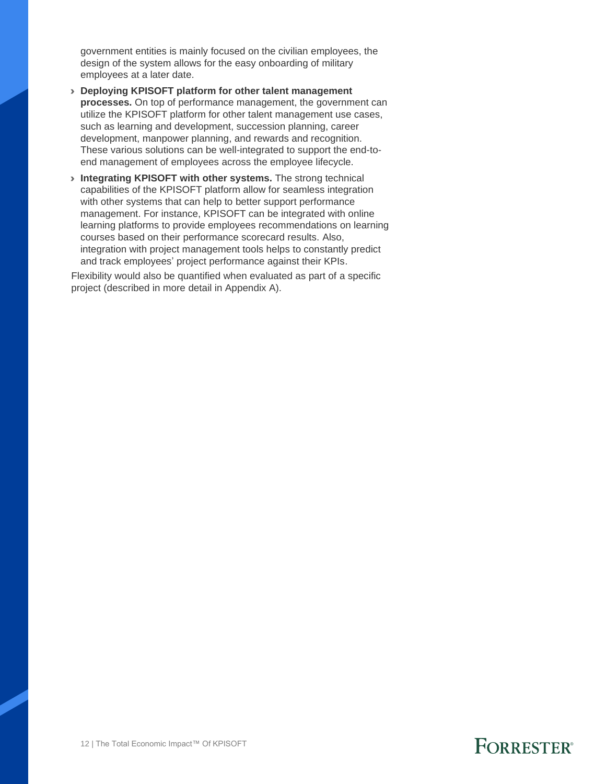government entities is mainly focused on the civilian employees, the design of the system allows for the easy onboarding of military employees at a later date.

- › **Deploying KPISOFT platform for other talent management processes.** On top of performance management, the government can utilize the KPISOFT platform for other talent management use cases, such as learning and development, succession planning, career development, manpower planning, and rewards and recognition. These various solutions can be well-integrated to support the end-toend management of employees across the employee lifecycle.
- › **Integrating KPISOFT with other systems.** The strong technical capabilities of the KPISOFT platform allow for seamless integration with other systems that can help to better support performance management. For instance, KPISOFT can be integrated with online learning platforms to provide employees recommendations on learning courses based on their performance scorecard results. Also, integration with project management tools helps to constantly predict and track employees' project performance against their KPIs.

Flexibility would also be quantified when evaluated as part of a specific project (described in more detail in Appendix A).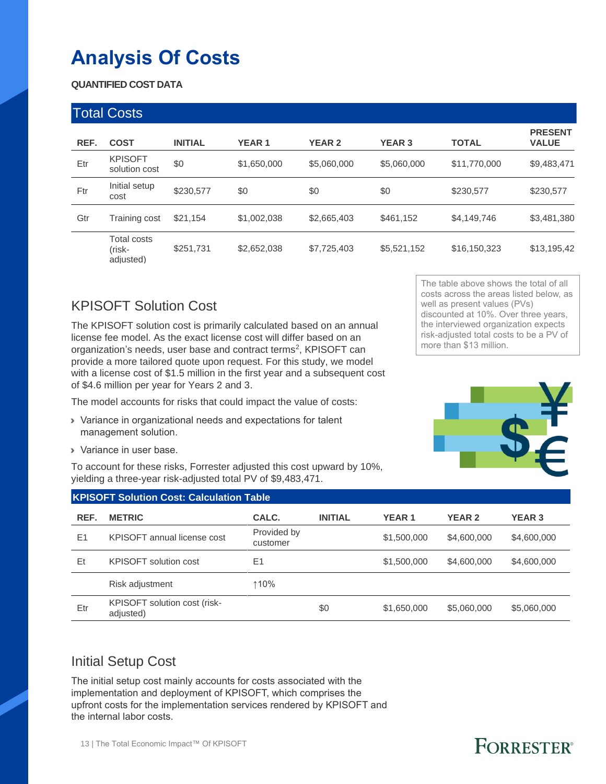## **Analysis Of Costs**

**QUANTIFIED COST DATA**

| <b>Total Costs</b> |                                           |                |              |               |               |              |                                |  |
|--------------------|-------------------------------------------|----------------|--------------|---------------|---------------|--------------|--------------------------------|--|
| REF.               | <b>COST</b>                               | <b>INITIAL</b> | <b>YEAR1</b> | <b>YEAR 2</b> | <b>YEAR 3</b> | <b>TOTAL</b> | <b>PRESENT</b><br><b>VALUE</b> |  |
| Etr                | <b>KPISOFT</b><br>solution cost           | \$0            | \$1,650,000  | \$5,060,000   | \$5,060,000   | \$11,770,000 | \$9,483,471                    |  |
| Ftr                | Initial setup<br>cost                     | \$230,577      | \$0          | \$0           | \$0           | \$230,577    | \$230,577                      |  |
| Gtr                | Training cost                             | \$21,154       | \$1,002,038  | \$2,665,403   | \$461,152     | \$4,149,746  | \$3,481,380                    |  |
|                    | <b>Total costs</b><br>(risk-<br>adjusted) | \$251,731      | \$2,652,038  | \$7,725,403   | \$5,521,152   | \$16,150,323 | \$13,195,42                    |  |

### KPISOFT Solution Cost

The KPISOFT solution cost is primarily calculated based on an annual license fee model. As the exact license cost will differ based on an organization's needs, user base and contract terms<sup>2</sup>, KPISOFT can provide a more tailored quote upon request. For this study, we model with a license cost of \$1.5 million in the first year and a subsequent cost of \$4.6 million per year for Years 2 and 3.

The model accounts for risks that could impact the value of costs:

- › Variance in organizational needs and expectations for talent management solution.
- › Variance in user base.

To account for these risks, Forrester adjusted this cost upward by 10%, yielding a three-year risk-adjusted total PV of \$9,483,471.

The table above shows the total of all costs across the areas listed below, as well as present values (PVs) discounted at 10%. Over three years, the interviewed organization expects risk-adjusted total costs to be a PV of more than \$13 million.

<span id="page-14-0"></span>

|      | <b>KPISOFT Solution Cost: Calculation Table</b> |                         |                |              |               |               |  |  |  |  |
|------|-------------------------------------------------|-------------------------|----------------|--------------|---------------|---------------|--|--|--|--|
| REF. | <b>METRIC</b>                                   | CALC.                   | <b>INITIAL</b> | <b>YEAR1</b> | <b>YEAR 2</b> | <b>YEAR 3</b> |  |  |  |  |
| E1   | KPISOFT annual license cost                     | Provided by<br>customer |                | \$1,500,000  | \$4,600,000   | \$4,600,000   |  |  |  |  |
| Et   | <b>KPISOFT</b> solution cost                    | E1                      |                | \$1,500,000  | \$4,600,000   | \$4,600,000   |  |  |  |  |
|      | Risk adjustment                                 | ↑10%                    |                |              |               |               |  |  |  |  |
| Etr  | KPISOFT solution cost (risk-<br>adjusted)       |                         | \$0            | \$1,650,000  | \$5,060,000   | \$5,060,000   |  |  |  |  |

### Initial Setup Cost

The initial setup cost mainly accounts for costs associated with the implementation and deployment of KPISOFT, which comprises the upfront costs for the implementation services rendered by KPISOFT and the internal labor costs.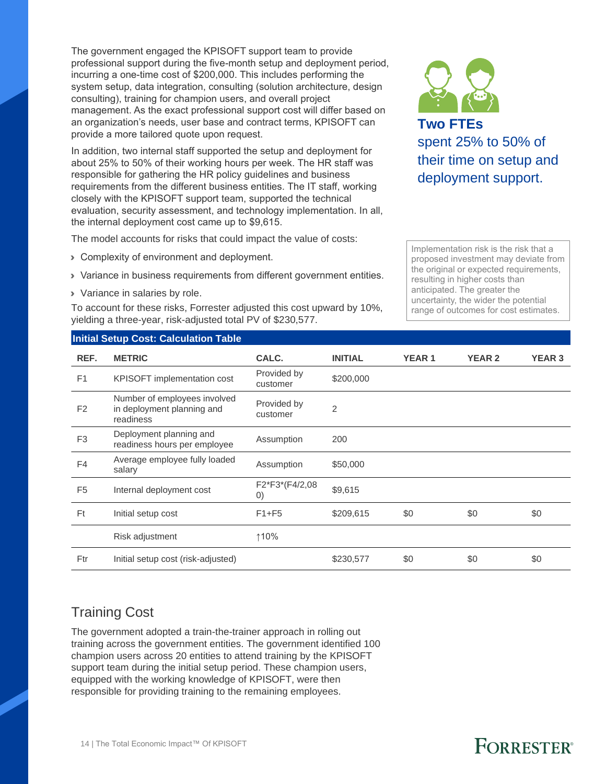The government engaged the KPISOFT support team to provide professional support during the five-month setup and deployment period, incurring a one-time cost of \$200,000. This includes performing the system setup, data integration, consulting (solution architecture, design consulting), training for champion users, and overall project management. As the exact professional support cost will differ based on an organization's needs, user base and contract terms, KPISOFT can provide a more tailored quote upon request.

In addition, two internal staff supported the setup and deployment for about 25% to 50% of their working hours per week. The HR staff was responsible for gathering the HR policy guidelines and business requirements from the different business entities. The IT staff, working closely with the KPISOFT support team, supported the technical evaluation, security assessment, and technology implementation. In all, the internal deployment cost came up to \$9,615.

The model accounts for risks that could impact the value of costs:

- **> Complexity of environment and deployment.**
- › Variance in business requirements from different government entities.
- › Variance in salaries by role.

To account for these risks, Forrester adjusted this cost upward by 10%, yielding a three-year, risk-adjusted total PV of \$230,577.



**Two FTEs** spent 25% to 50% of their time on setup and deployment support.

Implementation risk is the risk that a proposed investment may deviate from the original or expected requirements, resulting in higher costs than anticipated. The greater the uncertainty, the wider the potential range of outcomes for cost estimates.

#### **Initial Setup Cost: Calculation Table**

| REF.           | <b>METRIC</b>                                                           | CALC.                               | <b>INITIAL</b> | <b>YEAR1</b> | <b>YEAR 2</b> | <b>YEAR 3</b> |
|----------------|-------------------------------------------------------------------------|-------------------------------------|----------------|--------------|---------------|---------------|
| F <sub>1</sub> | KPISOFT implementation cost                                             | Provided by<br>customer             | \$200,000      |              |               |               |
| F <sub>2</sub> | Number of employees involved<br>in deployment planning and<br>readiness | Provided by<br>customer             | $\overline{2}$ |              |               |               |
| F <sub>3</sub> | Deployment planning and<br>readiness hours per employee                 | Assumption                          | 200            |              |               |               |
| F4             | Average employee fully loaded<br>salary                                 | Assumption                          | \$50,000       |              |               |               |
| F <sub>5</sub> | Internal deployment cost                                                | F2*F3*(F4/2,08<br>$\left( 0\right)$ | \$9,615        |              |               |               |
| Ft             | Initial setup cost                                                      | $F1 + F5$                           | \$209,615      | \$0          | \$0           | \$0           |
|                | Risk adjustment                                                         | ↑10%                                |                |              |               |               |
| Ftr            | Initial setup cost (risk-adjusted)                                      |                                     | \$230,577      | \$0          | \$0           | \$0           |

### Training Cost

The government adopted a train-the-trainer approach in rolling out training across the government entities. The government identified 100 champion users across 20 entities to attend training by the KPISOFT support team during the initial setup period. These champion users, equipped with the working knowledge of KPISOFT, were then responsible for providing training to the remaining employees.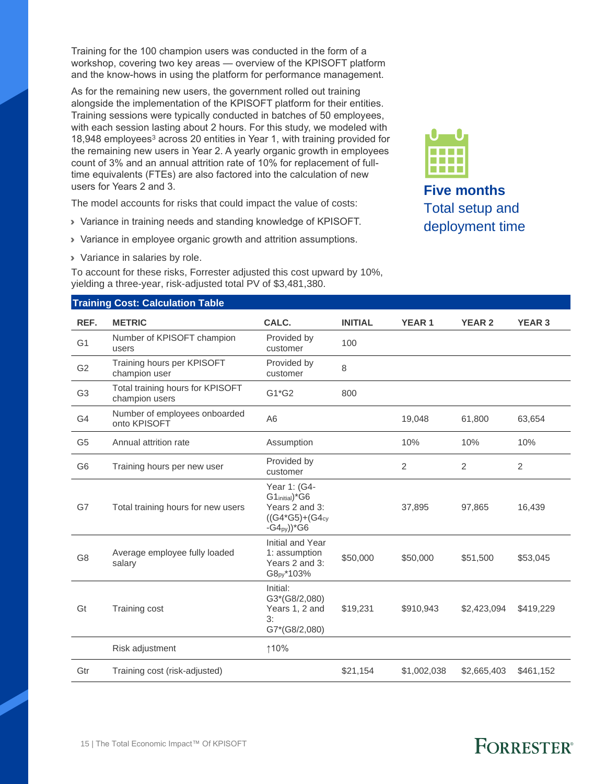Training for the 100 champion users was conducted in the form of a workshop, covering two key areas — overview of the KPISOFT platform and the know-hows in using the platform for performance management.

<span id="page-16-0"></span>As for the remaining new users, the government rolled out training alongside the implementation of the KPISOFT platform for their entities. Training sessions were typically conducted in batches of 50 employees, with each session lasting about 2 hours. For this study, we modeled with 18,948 employees <sup>3</sup> across 20 entities in Year 1, with training provided for the remaining new users in Year 2. A yearly organic growth in employees count of 3% and an annual attrition rate of 10% for replacement of fulltime equivalents (FTEs) are also factored into the calculation of new users for Years 2 and 3.

The model accounts for risks that could impact the value of costs:

- › Variance in training needs and standing knowledge of KPISOFT.
- › Variance in employee organic growth and attrition assumptions.
- › Variance in salaries by role.

**Training Cost: Calculation Table**

To account for these risks, Forrester adjusted this cost upward by 10%, yielding a three-year, risk-adjusted total PV of \$3,481,380.



**Five months** Total setup and deployment time

|                | <b>Halling Cost. Calculation Table</b>             |                                                                                                                    |                |              |                |                |
|----------------|----------------------------------------------------|--------------------------------------------------------------------------------------------------------------------|----------------|--------------|----------------|----------------|
| REF.           | <b>METRIC</b>                                      | CALC.                                                                                                              | <b>INITIAL</b> | <b>YEAR1</b> | <b>YEAR 2</b>  | <b>YEAR 3</b>  |
| G <sub>1</sub> | Number of KPISOFT champion<br>users                | Provided by<br>customer                                                                                            | 100            |              |                |                |
| G <sub>2</sub> | Training hours per KPISOFT<br>champion user        | Provided by<br>customer                                                                                            | 8              |              |                |                |
| G <sub>3</sub> | Total training hours for KPISOFT<br>champion users | G1*G2                                                                                                              | 800            |              |                |                |
| G <sub>4</sub> | Number of employees onboarded<br>onto KPISOFT      | A <sub>6</sub>                                                                                                     |                | 19,048       | 61,800         | 63,654         |
| G <sub>5</sub> | Annual attrition rate                              | Assumption                                                                                                         |                | 10%          | 10%            | 10%            |
| G <sub>6</sub> | Training hours per new user                        | Provided by<br>customer                                                                                            |                | 2            | $\overline{2}$ | $\overline{2}$ |
| G7             | Total training hours for new users                 | Year 1: (G4-<br>G1 <sub>initial</sub> )*G6<br>Years 2 and 3:<br>$((G4*G5)+(G4_{cy}$<br>$-G4_{PV})$ <sup>*</sup> G6 |                | 37,895       | 97,865         | 16,439         |
| G <sub>8</sub> | Average employee fully loaded<br>salary            | Initial and Year<br>1: assumption<br>Years 2 and 3:<br>G8 <sub>py</sub> *103%                                      | \$50,000       | \$50,000     | \$51,500       | \$53,045       |
| Gt             | Training cost                                      | Initial:<br>G3*(G8/2,080)<br>Years 1, 2 and<br>3:<br>G7*(G8/2,080)                                                 | \$19,231       | \$910,943    | \$2,423,094    | \$419,229      |
|                | Risk adjustment                                    | ↑10%                                                                                                               |                |              |                |                |
| Gtr            | Training cost (risk-adjusted)                      |                                                                                                                    | \$21,154       | \$1,002,038  | \$2,665,403    | \$461,152      |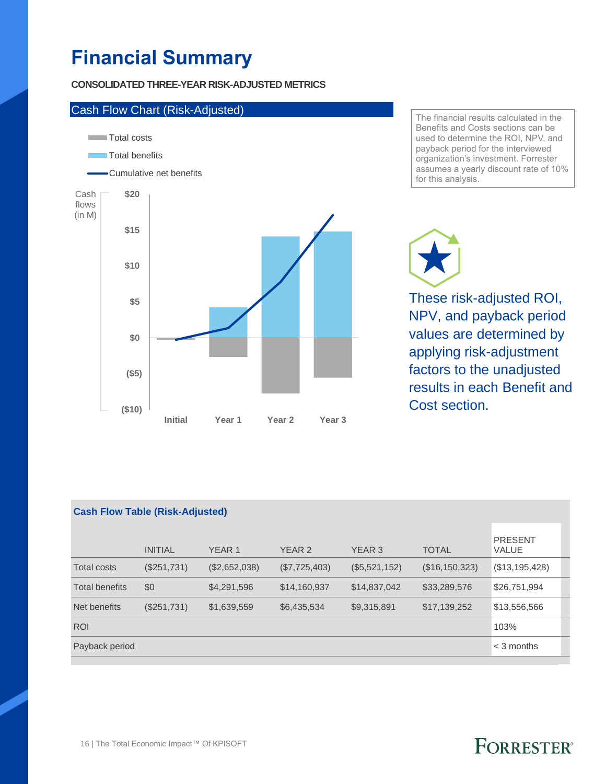## **Financial Summary**

#### **CONSOLIDATED THREE-YEAR RISK-ADJUSTED METRICS**



The financial results calculated in the Benefits and Costs sections can be used to determine the ROI, NPV, and payback period for the interviewed organization's investment. Forrester assumes a yearly discount rate of 10% for this analysis.

These risk-adjusted ROI, NPV, and payback period values are determined by applying risk-adjustment factors to the unadjusted results in each Benefit and Cost section.

| <b>Cash Flow Table (Risk-Adjusted)</b> |                |               |               |               |                 |                                |  |  |
|----------------------------------------|----------------|---------------|---------------|---------------|-----------------|--------------------------------|--|--|
|                                        | <b>INITIAL</b> | <b>YEAR 1</b> | <b>YEAR 2</b> | YEAR 3        | <b>TOTAL</b>    | <b>PRESENT</b><br><b>VALUE</b> |  |  |
| <b>Total costs</b>                     | (\$251,731)    | (\$2,652,038) | (\$7,725,403) | (\$5,521,152) | (S16, 150, 323) | (\$13,195,428)                 |  |  |
| <b>Total benefits</b>                  | \$0            | \$4,291,596   | \$14,160,937  | \$14,837,042  | \$33,289,576    | \$26,751,994                   |  |  |
| Net benefits                           | (S251,731)     | \$1,639,559   | \$6,435,534   | \$9,315,891   | \$17,139,252    | \$13,556,566                   |  |  |
| <b>ROI</b>                             |                |               |               |               |                 | 103%                           |  |  |
| Payback period                         |                |               |               |               |                 | $<$ 3 months                   |  |  |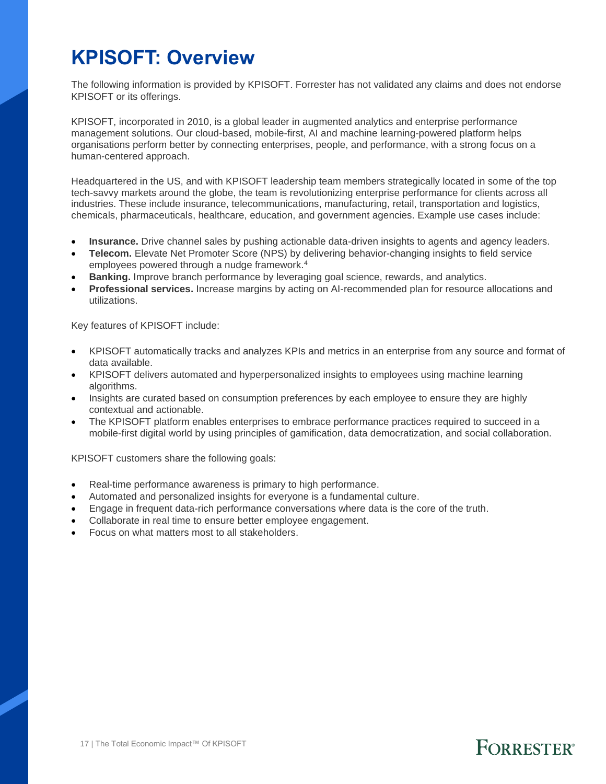### **KPISOFT: Overview**

The following information is provided by KPISOFT. Forrester has not validated any claims and does not endorse KPISOFT or its offerings.

KPISOFT, incorporated in 2010, is a global leader in augmented analytics and enterprise performance management solutions. Our cloud-based, mobile-first, AI and machine learning-powered platform helps organisations perform better by connecting enterprises, people, and performance, with a strong focus on a human-centered approach.

Headquartered in the US, and with KPISOFT leadership team members strategically located in some of the top tech-savvy markets around the globe, the team is revolutionizing enterprise performance for clients across all industries. These include insurance, telecommunications, manufacturing, retail, transportation and logistics, chemicals, pharmaceuticals, healthcare, education, and government agencies. Example use cases include:

- **Insurance.** Drive channel sales by pushing actionable data-driven insights to agents and agency leaders.
- **Telecom.** Elevate Net Promoter Score (NPS) by delivering behavior-changing insights to field service employees powered through a nudge framework.<sup>4</sup>
- **Banking.** Improve branch performance by leveraging goal science, rewards, and analytics.
- **Professional services.** Increase margins by acting on AI-recommended plan for resource allocations and utilizations.

Key features of KPISOFT include:

- KPISOFT automatically tracks and analyzes KPIs and metrics in an enterprise from any source and format of data available.
- KPISOFT delivers automated and hyperpersonalized insights to employees using machine learning algorithms.
- Insights are curated based on consumption preferences by each employee to ensure they are highly contextual and actionable.
- The KPISOFT platform enables enterprises to embrace performance practices required to succeed in a mobile-first digital world by using principles of gamification, data democratization, and social collaboration.

KPISOFT customers share the following goals:

- Real-time performance awareness is primary to high performance.
- Automated and personalized insights for everyone is a fundamental culture.
- Engage in frequent data-rich performance conversations where data is the core of the truth.
- Collaborate in real time to ensure better employee engagement.
- Focus on what matters most to all stakeholders.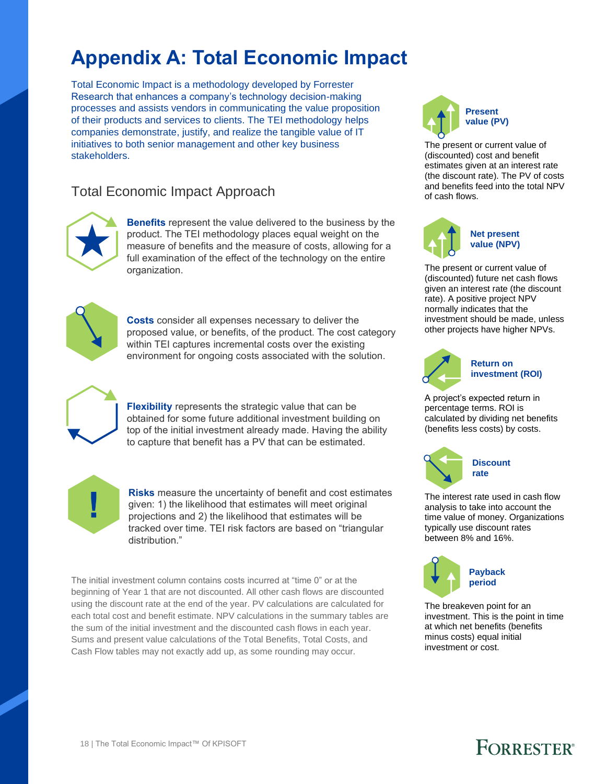## **Appendix A: Total Economic Impact**

Total Economic Impact is a methodology developed by Forrester Research that enhances a company's technology decision-making processes and assists vendors in communicating the value proposition of their products and services to clients. The TEI methodology helps companies demonstrate, justify, and realize the tangible value of IT initiatives to both senior management and other key business stakeholders.

### Total Economic Impact Approach



**Benefits** represent the value delivered to the business by the product. The TEI methodology places equal weight on the measure of benefits and the measure of costs, allowing for a full examination of the effect of the technology on the entire organization.



**Costs** consider all expenses necessary to deliver the proposed value, or benefits, of the product. The cost category within TEI captures incremental costs over the existing environment for ongoing costs associated with the solution.



**Flexibility** represents the strategic value that can be obtained for some future additional investment building on top of the initial investment already made. Having the ability to capture that benefit has a PV that can be estimated.



**Risks** measure the uncertainty of benefit and cost estimates given: 1) the likelihood that estimates will meet original projections and 2) the likelihood that estimates will be tracked over time. TEI risk factors are based on "triangular distribution."

The initial investment column contains costs incurred at "time 0" or at the beginning of Year 1 that are not discounted. All other cash flows are discounted using the discount rate at the end of the year. PV calculations are calculated for each total cost and benefit estimate. NPV calculations in the summary tables are the sum of the initial investment and the discounted cash flows in each year. Sums and present value calculations of the Total Benefits, Total Costs, and Cash Flow tables may not exactly add up, as some rounding may occur.



The present or current value of (discounted) cost and benefit estimates given at an interest rate (the discount rate). The PV of costs and benefits feed into the total NPV of cash flows.



The present or current value of (discounted) future net cash flows given an interest rate (the discount rate). A positive project NPV normally indicates that the investment should be made, unless other projects have higher NPVs.



#### **Return on investment (ROI)**

A project's expected return in percentage terms. ROI is calculated by dividing net benefits (benefits less costs) by costs.



The interest rate used in cash flow analysis to take into account the time value of money. Organizations typically use discount rates between 8% and 16%.



The breakeven point for an investment. This is the point in time at which net benefits (benefits minus costs) equal initial investment or cost.